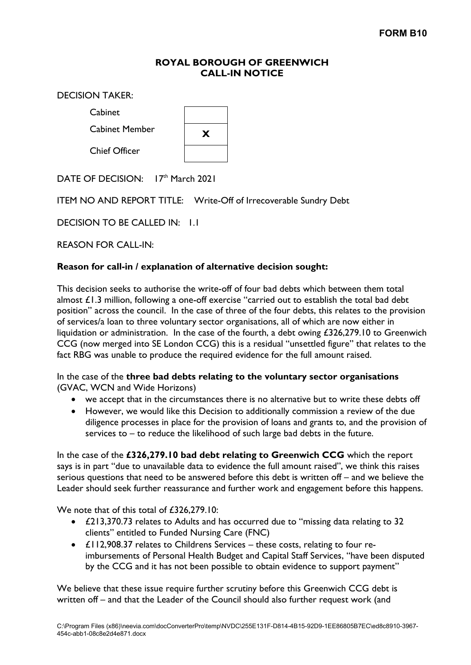## **ROYAL BOROUGH OF GREENWICH CALL-IN NOTICE**

DECISION TAKER:

Cabinet

Cabinet Member **<sup>X</sup>**

Chief Officer



DATE OF DECISION: 17th March 2021

ITEM NO AND REPORT TITLE: Write-Off of Irrecoverable Sundry Debt

DECISION TO BE CALLED IN: 11

REASON FOR CALL-IN:

## **Reason for call-in / explanation of alternative decision sought:**

This decision seeks to authorise the write-off of four bad debts which between them total almost  $f(1,3)$  million, following a one-off exercise "carried out to establish the total bad debt position" across the council. In the case of three of the four debts, this relates to the provision of services/a loan to three voluntary sector organisations, all of which are now either in liquidation or administration. In the case of the fourth, a debt owing £326,279.10 to Greenwich CCG (now merged into SE London CCG) this is a residual "unsettled figure" that relates to the fact RBG was unable to produce the required evidence for the full amount raised.

In the case of the **three bad debts relating to the voluntary sector organisations** (GVAC, WCN and Wide Horizons)

- we accept that in the circumstances there is no alternative but to write these debts off
- However, we would like this Decision to additionally commission a review of the due diligence processes in place for the provision of loans and grants to, and the provision of services to – to reduce the likelihood of such large bad debts in the future.

In the case of the **£326,279.10 bad debt relating to Greenwich CCG** which the report says is in part "due to unavailable data to evidence the full amount raised", we think this raises serious questions that need to be answered before this debt is written off – and we believe the Leader should seek further reassurance and further work and engagement before this happens.

We note that of this total of £326,279.10:

- £213,370.73 relates to Adults and has occurred due to "missing data relating to 32 clients" entitled to Funded Nursing Care (FNC)
- £112,908.37 relates to Childrens Services these costs, relating to four reimbursements of Personal Health Budget and Capital Staff Services, "have been disputed by the CCG and it has not been possible to obtain evidence to support payment"

We believe that these issue require further scrutiny before this Greenwich CCG debt is written off – and that the Leader of the Council should also further request work (and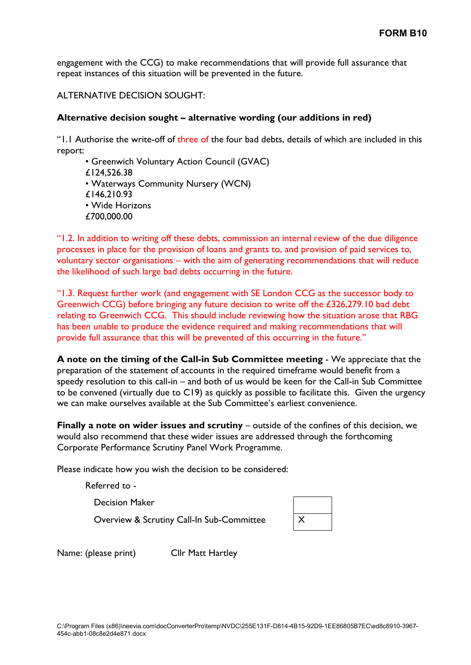engagement with the CCG) to make recommendations that will provide full assurance that repeat instances of this situation will be prevented in the future.

ALTERNATIVE DECISION SOUGHT:

## **Alternative decision sought – alternative wording (our additions in red)**

"1.1 Authorise the write-off of three of the four bad debts, details of which are included in this report:

• Greenwich Voluntary Action Council (GVAC) £124,526.38 • Waterways Community Nursery (WCN) £146,210.93 • Wide Horizons £700,000.00

"1.2. In addition to writing off these debts, commission an internal review of the due diligence processes in place for the provision of loans and grants to, and provision of paid services to, voluntary sector organisations – with the aim of generating recommendations that will reduce the likelihood of such large bad debts occurring in the future.

"1.3. Request further work (and engagement with SE London CCG as the successor body to Greenwich CCG) before bringing any future decision to write off the £326,279.10 bad debt relating to Greenwich CCG. This should include reviewing how the situation arose that RBG has been unable to produce the evidence required and making recommendations that will provide full assurance that this will be prevented of this occurring in the future."

**A note on the timing of the Call-in Sub Committee meeting** - We appreciate that the preparation of the statement of accounts in the required timeframe would benefit from a speedy resolution to this call-in – and both of us would be keen for the Call-in Sub Committee to be convened (virtually due to C19) as quickly as possible to facilitate this. Given the urgency we can make ourselves available at the Sub Committee's earliest convenience.

**Finally a note on wider issues and scrutiny** – outside of the confines of this decision, we would also recommend that these wider issues are addressed through the forthcoming Corporate Performance Scrutiny Panel Work Programme.

Please indicate how you wish the decision to be considered:

Referred to -

Decision Maker

Overview & Scrutiny Call-In Sub-Committee

Name: (please print) Cllr Matt Hartley